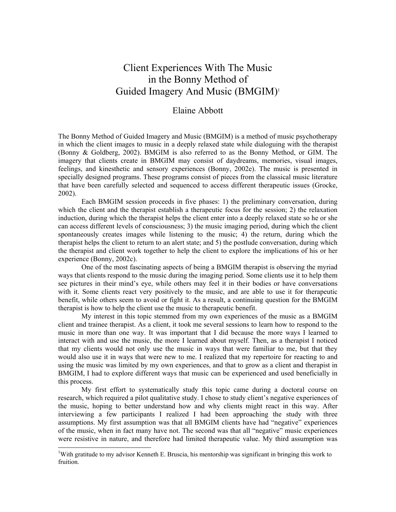# Client Experiences With The Music in the Bonny Method of Guided Imagery And Music (BMGIM)<sup>1</sup>

# Elaine Abbott

The Bonny Method of Guided Imagery and Music (BMGIM) is a method of music psychotherapy in which the client images to music in a deeply relaxed state while dialoguing with the therapist (Bonny & Goldberg, 2002). BMGIM is also referred to as the Bonny Method, or GIM. The imagery that clients create in BMGIM may consist of daydreams, memories, visual images, feelings, and kinesthetic and sensory experiences (Bonny, 2002e). The music is presented in specially designed programs. These programs consist of pieces from the classical music literature that have been carefully selected and sequenced to access different therapeutic issues (Grocke, 2002).

Each BMGIM session proceeds in five phases: 1) the preliminary conversation, during which the client and the therapist establish a therapeutic focus for the session; 2) the relaxation induction, during which the therapist helps the client enter into a deeply relaxed state so he or she can access different levels of consciousness; 3) the music imaging period, during which the client spontaneously creates images while listening to the music; 4) the return, during which the therapist helps the client to return to an alert state; and 5) the postlude conversation, during which the therapist and client work together to help the client to explore the implications of his or her experience (Bonny, 2002c).

One of the most fascinating aspects of being a BMGIM therapist is observing the myriad ways that clients respond to the music during the imaging period. Some clients use it to help them see pictures in their mind's eye, while others may feel it in their bodies or have conversations with it. Some clients react very positively to the music, and are able to use it for therapeutic benefit, while others seem to avoid or fight it. As a result, a continuing question for the BMGIM therapist is how to help the client use the music to therapeutic benefit.

My interest in this topic stemmed from my own experiences of the music as a BMGIM client and trainee therapist. As a client, it took me several sessions to learn how to respond to the music in more than one way. It was important that I did because the more ways I learned to interact with and use the music, the more I learned about myself. Then, as a therapist I noticed that my clients would not only use the music in ways that were familiar to me, but that they would also use it in ways that were new to me. I realized that my repertoire for reacting to and using the music was limited by my own experiences, and that to grow as a client and therapist in BMGIM, I had to explore different ways that music can be experienced and used beneficially in this process.

My first effort to systematically study this topic came during a doctoral course on research, which required a pilot qualitative study. I chose to study client's negative experiences of the music, hoping to better understand how and why clients might react in this way. After interviewing a few participants I realized I had been approaching the study with three assumptions. My first assumption was that all BMGIM clients have had "negative" experiences of the music, when in fact many have not. The second was that all "negative" music experiences were resistive in nature, and therefore had limited therapeutic value. My third assumption was

 $\overline{a}$ 

<sup>&</sup>lt;sup>1</sup>With gratitude to my advisor Kenneth E. Bruscia, his mentorship was significant in bringing this work to fruition.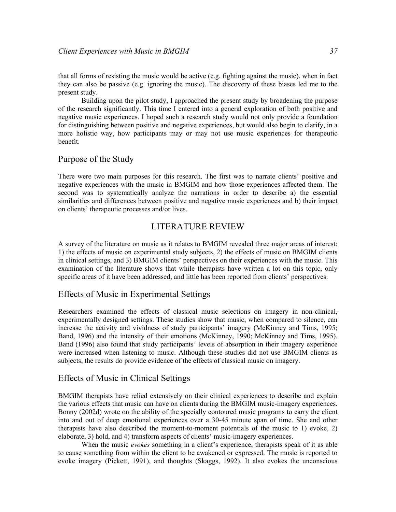that all forms of resisting the music would be active (e.g. fighting against the music), when in fact they can also be passive (e.g. ignoring the music). The discovery of these biases led me to the present study.

Building upon the pilot study, I approached the present study by broadening the purpose of the research significantly. This time I entered into a general exploration of both positive and negative music experiences. I hoped such a research study would not only provide a foundation for distinguishing between positive and negative experiences, but would also begin to clarify, in a more holistic way, how participants may or may not use music experiences for therapeutic benefit.

# Purpose of the Study

There were two main purposes for this research. The first was to narrate clients' positive and negative experiences with the music in BMGIM and how those experiences affected them. The second was to systematically analyze the narrations in order to describe a) the essential similarities and differences between positive and negative music experiences and b) their impact on clients' therapeutic processes and/or lives.

# LITERATURE REVIEW

A survey of the literature on music as it relates to BMGIM revealed three major areas of interest: 1) the effects of music on experimental study subjects, 2) the effects of music on BMGIM clients in clinical settings, and 3) BMGIM clients' perspectives on their experiences with the music. This examination of the literature shows that while therapists have written a lot on this topic, only specific areas of it have been addressed, and little has been reported from clients' perspectives.

# Effects of Music in Experimental Settings

Researchers examined the effects of classical music selections on imagery in non-clinical, experimentally designed settings. These studies show that music, when compared to silence, can increase the activity and vividness of study participants' imagery (McKinney and Tims, 1995; Band, 1996) and the intensity of their emotions (McKinney, 1990; McKinney and Tims, 1995). Band (1996) also found that study participants' levels of absorption in their imagery experience were increased when listening to music. Although these studies did not use BMGIM clients as subjects, the results do provide evidence of the effects of classical music on imagery.

# Effects of Music in Clinical Settings

BMGIM therapists have relied extensively on their clinical experiences to describe and explain the various effects that music can have on clients during the BMGIM music-imagery experiences. Bonny (2002d) wrote on the ability of the specially contoured music programs to carry the client into and out of deep emotional experiences over a 30-45 minute span of time. She and other therapists have also described the moment-to-moment potentials of the music to 1) evoke, 2) elaborate, 3) hold, and 4) transform aspects of clients' music-imagery experiences.

When the music *evokes* something in a client's experience, therapists speak of it as able to cause something from within the client to be awakened or expressed. The music is reported to evoke imagery (Pickett, 1991), and thoughts (Skaggs, 1992). It also evokes the unconscious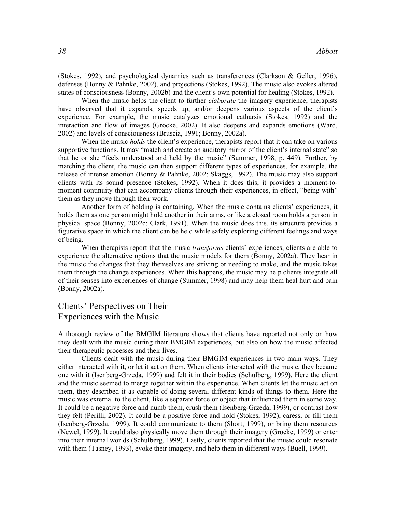(Stokes, 1992), and psychological dynamics such as transferences (Clarkson & Geller, 1996), defenses (Bonny & Pahnke, 2002), and projections (Stokes, 1992). The music also evokes altered states of consciousness (Bonny, 2002b) and the client's own potential for healing (Stokes, 1992).

When the music helps the client to further *elaborate* the imagery experience, therapists have observed that it expands, speeds up, and/or deepens various aspects of the client's experience. For example, the music catalyzes emotional catharsis (Stokes, 1992) and the interaction and flow of images (Grocke, 2002). It also deepens and expands emotions (Ward, 2002) and levels of consciousness (Bruscia, 1991; Bonny, 2002a).

When the music *holds* the client's experience, therapists report that it can take on various supportive functions. It may "match and create an auditory mirror of the client's internal state" so that he or she "feels understood and held by the music" (Summer, 1998, p. 449). Further, by matching the client, the music can then support different types of experiences, for example, the release of intense emotion (Bonny & Pahnke, 2002; Skaggs, 1992). The music may also support clients with its sound presence (Stokes, 1992). When it does this, it provides a moment-tomoment continuity that can accompany clients through their experiences, in effect, "being with" them as they move through their work.

Another form of holding is containing. When the music contains clients' experiences, it holds them as one person might hold another in their arms, or like a closed room holds a person in physical space (Bonny, 2002c; Clark, 1991). When the music does this, its structure provides a figurative space in which the client can be held while safely exploring different feelings and ways of being.

When therapists report that the music *transforms* clients' experiences, clients are able to experience the alternative options that the music models for them (Bonny, 2002a). They hear in the music the changes that they themselves are striving or needing to make, and the music takes them through the change experiences. When this happens, the music may help clients integrate all of their senses into experiences of change (Summer, 1998) and may help them heal hurt and pain (Bonny, 2002a).

# Clients' Perspectives on Their Experiences with the Music

A thorough review of the BMGIM literature shows that clients have reported not only on how they dealt with the music during their BMGIM experiences, but also on how the music affected their therapeutic processes and their lives.

Clients dealt with the music during their BMGIM experiences in two main ways. They either interacted with it, or let it act on them. When clients interacted with the music, they became one with it (Isenberg-Grzeda, 1999) and felt it in their bodies (Schulberg, 1999). Here the client and the music seemed to merge together within the experience. When clients let the music act on them, they described it as capable of doing several different kinds of things to them. Here the music was external to the client, like a separate force or object that influenced them in some way. It could be a negative force and numb them, crush them (Isenberg-Grzeda, 1999), or contrast how they felt (Perilli, 2002). It could be a positive force and hold (Stokes, 1992), caress, or fill them (Isenberg-Grzeda, 1999). It could communicate to them (Short, 1999), or bring them resources (Newel, 1999). It could also physically move them through their imagery (Grocke, 1999) or enter into their internal worlds (Schulberg, 1999). Lastly, clients reported that the music could resonate with them (Tasney, 1993), evoke their imagery, and help them in different ways (Buell, 1999).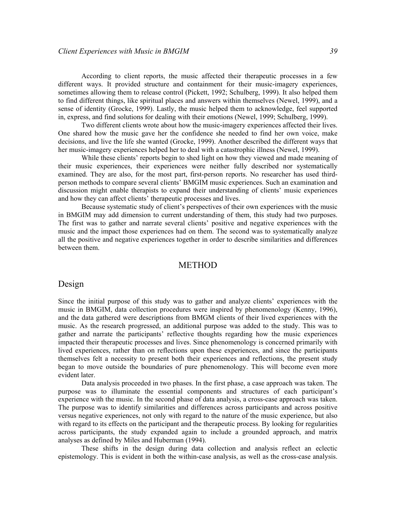According to client reports, the music affected their therapeutic processes in a few different ways. It provided structure and containment for their music-imagery experiences, sometimes allowing them to release control (Pickett, 1992; Schulberg, 1999). It also helped them to find different things, like spiritual places and answers within themselves (Newel, 1999), and a sense of identity (Grocke, 1999). Lastly, the music helped them to acknowledge, feel supported in, express, and find solutions for dealing with their emotions (Newel, 1999; Schulberg, 1999).

Two different clients wrote about how the music-imagery experiences affected their lives. One shared how the music gave her the confidence she needed to find her own voice, make decisions, and live the life she wanted (Grocke, 1999). Another described the different ways that her music-imagery experiences helped her to deal with a catastrophic illness (Newel, 1999).

While these clients' reports begin to shed light on how they viewed and made meaning of their music experiences, their experiences were neither fully described nor systematically examined. They are also, for the most part, first-person reports. No researcher has used thirdperson methods to compare several clients' BMGIM music experiences. Such an examination and discussion might enable therapists to expand their understanding of clients' music experiences and how they can affect clients' therapeutic processes and lives.

Because systematic study of client's perspectives of their own experiences with the music in BMGIM may add dimension to current understanding of them, this study had two purposes. The first was to gather and narrate several clients' positive and negative experiences with the music and the impact those experiences had on them. The second was to systematically analyze all the positive and negative experiences together in order to describe similarities and differences between them.

# **METHOD**

# Design

Since the initial purpose of this study was to gather and analyze clients' experiences with the music in BMGIM, data collection procedures were inspired by phenomenology (Kenny, 1996), and the data gathered were descriptions from BMGM clients of their lived experiences with the music. As the research progressed, an additional purpose was added to the study. This was to gather and narrate the participants' reflective thoughts regarding how the music experiences impacted their therapeutic processes and lives. Since phenomenology is concerned primarily with lived experiences, rather than on reflections upon these experiences, and since the participants themselves felt a necessity to present both their experiences and reflections, the present study began to move outside the boundaries of pure phenomenology. This will become even more evident later.

Data analysis proceeded in two phases. In the first phase, a case approach was taken. The purpose was to illuminate the essential components and structures of each participant's experience with the music. In the second phase of data analysis, a cross-case approach was taken. The purpose was to identify similarities and differences across participants and across positive versus negative experiences, not only with regard to the nature of the music experience, but also with regard to its effects on the participant and the therapeutic process. By looking for regularities across participants, the study expanded again to include a grounded approach, and matrix analyses as defined by Miles and Huberman (1994).

These shifts in the design during data collection and analysis reflect an eclectic epistemology. This is evident in both the within-case analysis, as well as the cross-case analysis.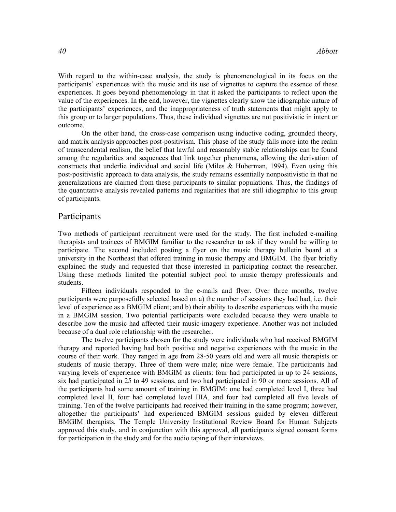With regard to the within-case analysis, the study is phenomenological in its focus on the participants' experiences with the music and its use of vignettes to capture the essence of these experiences. It goes beyond phenomenology in that it asked the participants to reflect upon the value of the experiences. In the end, however, the vignettes clearly show the idiographic nature of the participants' experiences, and the inappropriateness of truth statements that might apply to this group or to larger populations. Thus, these individual vignettes are not positivistic in intent or outcome.

On the other hand, the cross-case comparison using inductive coding, grounded theory, and matrix analysis approaches post-positivism. This phase of the study falls more into the realm of transcendental realism, the belief that lawful and reasonably stable relationships can be found among the regularities and sequences that link together phenomena, allowing the derivation of constructs that underlie individual and social life (Miles  $\&$  Huberman, 1994). Even using this post-positivistic approach to data analysis, the study remains essentially nonpositivistic in that no generalizations are claimed from these participants to similar populations. Thus, the findings of the quantitative analysis revealed patterns and regularities that are still idiographic to this group of participants.

# Participants

Two methods of participant recruitment were used for the study. The first included e-mailing therapists and trainees of BMGIM familiar to the researcher to ask if they would be willing to participate. The second included posting a flyer on the music therapy bulletin board at a university in the Northeast that offered training in music therapy and BMGIM. The flyer briefly explained the study and requested that those interested in participating contact the researcher. Using these methods limited the potential subject pool to music therapy professionals and students.

 Fifteen individuals responded to the e-mails and flyer. Over three months, twelve participants were purposefully selected based on a) the number of sessions they had had, i.e. their level of experience as a BMGIM client; and b) their ability to describe experiences with the music in a BMGIM session. Two potential participants were excluded because they were unable to describe how the music had affected their music-imagery experience. Another was not included because of a dual role relationship with the researcher.

 The twelve participants chosen for the study were individuals who had received BMGIM therapy and reported having had both positive and negative experiences with the music in the course of their work. They ranged in age from 28-50 years old and were all music therapists or students of music therapy. Three of them were male; nine were female. The participants had varying levels of experience with BMGIM as clients: four had participated in up to 24 sessions, six had participated in 25 to 49 sessions, and two had participated in 90 or more sessions. All of the participants had some amount of training in BMGIM: one had completed level I, three had completed level II, four had completed level IIIA, and four had completed all five levels of training. Ten of the twelve participants had received their training in the same program; however, altogether the participants' had experienced BMGIM sessions guided by eleven different BMGIM therapists. The Temple University Institutional Review Board for Human Subjects approved this study, and in conjunction with this approval, all participants signed consent forms for participation in the study and for the audio taping of their interviews.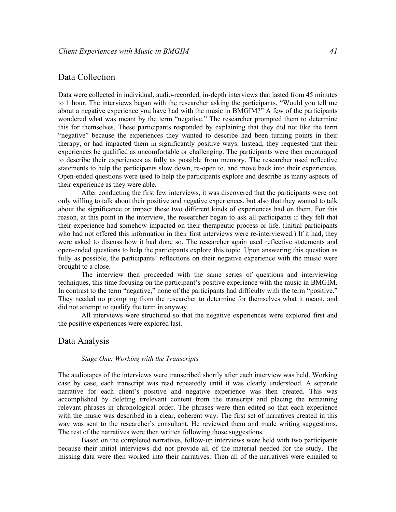# Data Collection

Data were collected in individual, audio-recorded, in-depth interviews that lasted from 45 minutes to 1 hour. The interviews began with the researcher asking the participants, "Would you tell me about a negative experience you have had with the music in BMGIM?" A few of the participants wondered what was meant by the term "negative." The researcher prompted them to determine this for themselves. These participants responded by explaining that they did not like the term "negative" because the experiences they wanted to describe had been turning points in their therapy, or had impacted them in significantly positive ways. Instead, they requested that their experiences be qualified as uncomfortable or challenging. The participants were then encouraged to describe their experiences as fully as possible from memory. The researcher used reflective statements to help the participants slow down, re-open to, and move back into their experiences. Open-ended questions were used to help the participants explore and describe as many aspects of their experience as they were able.

 After conducting the first few interviews, it was discovered that the participants were not only willing to talk about their positive and negative experiences, but also that they wanted to talk about the significance or impact these two different kinds of experiences had on them. For this reason, at this point in the interview, the researcher began to ask all participants if they felt that their experience had somehow impacted on their therapeutic process or life. (Initial participants who had not offered this information in their first interviews were re-interviewed.) If it had, they were asked to discuss how it had done so. The researcher again used reflective statements and open-ended questions to help the participants explore this topic. Upon answering this question as fully as possible, the participants' reflections on their negative experience with the music were brought to a close.

 The interview then proceeded with the same series of questions and interviewing techniques, this time focusing on the participant's positive experience with the music in BMGIM. In contrast to the term "negative," none of the participants had difficulty with the term "positive." They needed no prompting from the researcher to determine for themselves what it meant, and did not attempt to qualify the term in anyway.

 All interviews were structured so that the negative experiences were explored first and the positive experiences were explored last.

# Data Analysis

### Stage One: Working with the Transcripts

The audiotapes of the interviews were transcribed shortly after each interview was held. Working case by case, each transcript was read repeatedly until it was clearly understood. A separate narrative for each client's positive and negative experience was then created. This was accomplished by deleting irrelevant content from the transcript and placing the remaining relevant phrases in chronological order. The phrases were then edited so that each experience with the music was described in a clear, coherent way. The first set of narratives created in this way was sent to the researcher's consultant. He reviewed them and made writing suggestions. The rest of the narratives were then written following those suggestions.

 Based on the completed narratives, follow-up interviews were held with two participants because their initial interviews did not provide all of the material needed for the study. The missing data were then worked into their narratives. Then all of the narratives were emailed to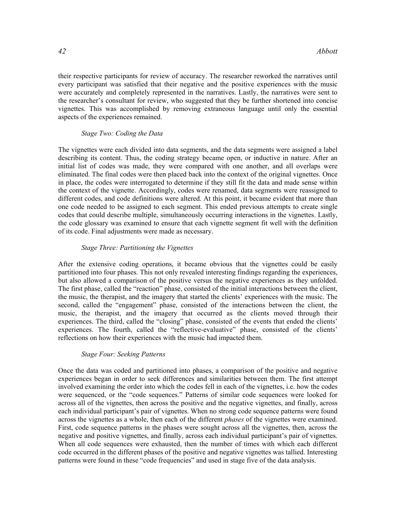their respective participants for review of accuracy. The researcher reworked the narratives until every participant was satisfied that their negative and the positive experiences with the music were accurately and completely represented in the narratives. Lastly, the narratives were sent to the researcher's consultant for review, who suggested that they be further shortened into concise vignettes. This was accomplished by removing extraneous language until only the essential aspects of the experiences remained.

### Stage Two: Coding the Data

The vignettes were each divided into data segments, and the data segments were assigned a label describing its content. Thus, the coding strategy became open, or inductive in nature. After an initial list of codes was made, they were compared with one another, and all overlaps were eliminated. The final codes were then placed back into the context of the original vignettes. Once in place, the codes were interrogated to determine if they still fit the data and made sense within the context of the vignette. Accordingly, codes were renamed, data segments were reassigned to different codes, and code definitions were altered. At this point, it became evident that more than one code needed to be assigned to each segment. This ended previous attempts to create single codes that could describe multiple, simultaneously occurring interactions in the vignettes. Lastly, the code glossary was examined to ensure that each vignette segment fit well with the definition of its code. Final adjustments were made as necessary.

### Stage Three: Partitioning the Vignettes

After the extensive coding operations, it became obvious that the vignettes could be easily partitioned into four phases. This not only revealed interesting findings regarding the experiences, but also allowed a comparison of the positive versus the negative experiences as they unfolded. The first phase, called the "reaction" phase, consisted of the initial interactions between the client, the music, the therapist, and the imagery that started the clients' experiences with the music. The second, called the "engagement" phase, consisted of the interactions between the client, the music, the therapist, and the imagery that occurred as the clients moved through their experiences. The third, called the "closing" phase, consisted of the events that ended the clients' experiences. The fourth, called the "reflective-evaluative" phase, consisted of the clients' reflections on how their experiences with the music had impacted them.

#### Stage Four: Seeking Patterns

Once the data was coded and partitioned into phases, a comparison of the positive and negative experiences began in order to seek differences and similarities between them. The first attempt involved examining the order into which the codes fell in each of the vignettes, i.e. how the codes were sequenced, or the "code sequences." Patterns of similar code sequences were looked for across all of the vignettes, then across the positive and the negative vignettes, and finally, across each individual participant's pair of vignettes. When no strong code sequence patterns were found across the vignettes as a whole, then each of the different *phases* of the vignettes were examined. First, code sequence patterns in the phases were sought across all the vignettes, then, across the negative and positive vignettes, and finally, across each individual participant's pair of vignettes. When all code sequences were exhausted, then the number of times with which each different code occurred in the different phases of the positive and negative vignettes was tallied. Interesting patterns were found in these "code frequencies" and used in stage five of the data analysis.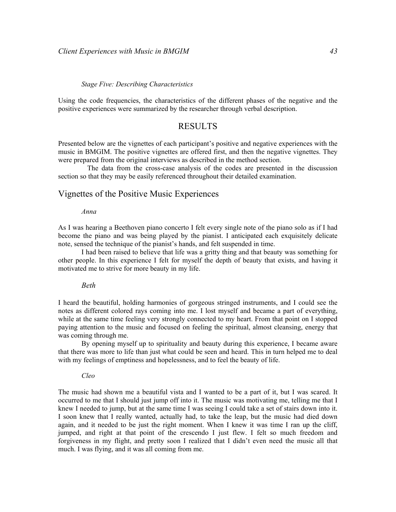### Stage Five: Describing Characteristics

Using the code frequencies, the characteristics of the different phases of the negative and the positive experiences were summarized by the researcher through verbal description.

# RESULTS

Presented below are the vignettes of each participant's positive and negative experiences with the music in BMGIM. The positive vignettes are offered first, and then the negative vignettes. They were prepared from the original interviews as described in the method section.

 The data from the cross-case analysis of the codes are presented in the discussion section so that they may be easily referenced throughout their detailed examination.

# Vignettes of the Positive Music Experiences

#### Anna

As I was hearing a Beethoven piano concerto I felt every single note of the piano solo as if I had become the piano and was being played by the pianist. I anticipated each exquisitely delicate note, sensed the technique of the pianist's hands, and felt suspended in time.

I had been raised to believe that life was a gritty thing and that beauty was something for other people. In this experience I felt for myself the depth of beauty that exists, and having it motivated me to strive for more beauty in my life.

### Beth

I heard the beautiful, holding harmonies of gorgeous stringed instruments, and I could see the notes as different colored rays coming into me. I lost myself and became a part of everything, while at the same time feeling very strongly connected to my heart. From that point on I stopped paying attention to the music and focused on feeling the spiritual, almost cleansing, energy that was coming through me.

By opening myself up to spirituality and beauty during this experience, I became aware that there was more to life than just what could be seen and heard. This in turn helped me to deal with my feelings of emptiness and hopelessness, and to feel the beauty of life.

### Cleo

The music had shown me a beautiful vista and I wanted to be a part of it, but I was scared. It occurred to me that I should just jump off into it. The music was motivating me, telling me that I knew I needed to jump, but at the same time I was seeing I could take a set of stairs down into it. I soon knew that I really wanted, actually had, to take the leap, but the music had died down again, and it needed to be just the right moment. When I knew it was time I ran up the cliff, jumped, and right at that point of the crescendo I just flew. I felt so much freedom and forgiveness in my flight, and pretty soon I realized that I didn't even need the music all that much. I was flying, and it was all coming from me.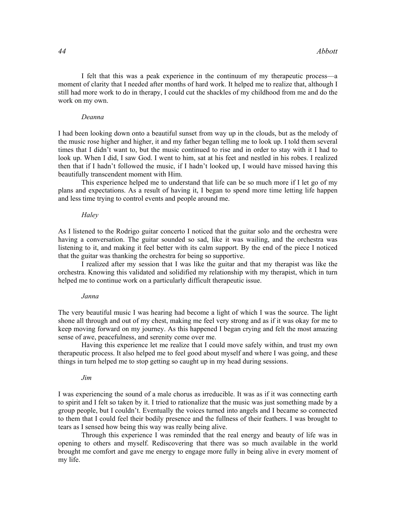I felt that this was a peak experience in the continuum of my therapeutic process—a moment of clarity that I needed after months of hard work. It helped me to realize that, although I still had more work to do in therapy, I could cut the shackles of my childhood from me and do the work on my own.

## Deanna

I had been looking down onto a beautiful sunset from way up in the clouds, but as the melody of the music rose higher and higher, it and my father began telling me to look up. I told them several times that I didn't want to, but the music continued to rise and in order to stay with it I had to look up. When I did, I saw God. I went to him, sat at his feet and nestled in his robes. I realized then that if I hadn't followed the music, if I hadn't looked up, I would have missed having this beautifully transcendent moment with Him.

This experience helped me to understand that life can be so much more if I let go of my plans and expectations. As a result of having it, I began to spend more time letting life happen and less time trying to control events and people around me.

### **Haley**

As I listened to the Rodrigo guitar concerto I noticed that the guitar solo and the orchestra were having a conversation. The guitar sounded so sad, like it was wailing, and the orchestra was listening to it, and making it feel better with its calm support. By the end of the piece I noticed that the guitar was thanking the orchestra for being so supportive.

I realized after my session that I was like the guitar and that my therapist was like the orchestra. Knowing this validated and solidified my relationship with my therapist, which in turn helped me to continue work on a particularly difficult therapeutic issue.

### Janna

The very beautiful music I was hearing had become a light of which I was the source. The light shone all through and out of my chest, making me feel very strong and as if it was okay for me to keep moving forward on my journey. As this happened I began crying and felt the most amazing sense of awe, peacefulness, and serenity come over me.

Having this experience let me realize that I could move safely within, and trust my own therapeutic process. It also helped me to feel good about myself and where I was going, and these things in turn helped me to stop getting so caught up in my head during sessions.

### Jim

I was experiencing the sound of a male chorus as irreducible. It was as if it was connecting earth to spirit and I felt so taken by it. I tried to rationalize that the music was just something made by a group people, but I couldn't. Eventually the voices turned into angels and I became so connected to them that I could feel their bodily presence and the fullness of their feathers. I was brought to tears as I sensed how being this way was really being alive.

Through this experience I was reminded that the real energy and beauty of life was in opening to others and myself. Rediscovering that there was so much available in the world brought me comfort and gave me energy to engage more fully in being alive in every moment of my life.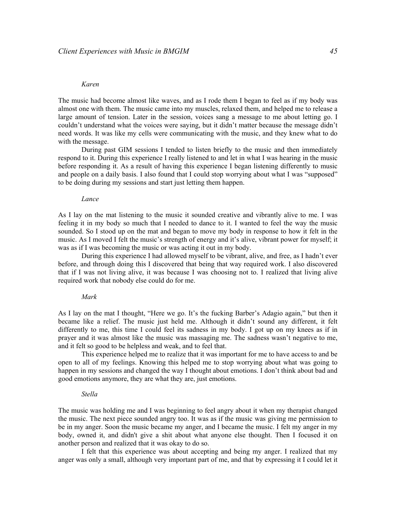### Karen

The music had become almost like waves, and as I rode them I began to feel as if my body was almost one with them. The music came into my muscles, relaxed them, and helped me to release a large amount of tension. Later in the session, voices sang a message to me about letting go. I couldn't understand what the voices were saying, but it didn't matter because the message didn't need words. It was like my cells were communicating with the music, and they knew what to do with the message.

During past GIM sessions I tended to listen briefly to the music and then immediately respond to it. During this experience I really listened to and let in what I was hearing in the music before responding it. As a result of having this experience I began listening differently to music and people on a daily basis. I also found that I could stop worrying about what I was "supposed" to be doing during my sessions and start just letting them happen.

### Lance

As I lay on the mat listening to the music it sounded creative and vibrantly alive to me. I was feeling it in my body so much that I needed to dance to it. I wanted to feel the way the music sounded. So I stood up on the mat and began to move my body in response to how it felt in the music. As I moved I felt the music's strength of energy and it's alive, vibrant power for myself; it was as if I was becoming the music or was acting it out in my body.

During this experience I had allowed myself to be vibrant, alive, and free, as I hadn't ever before, and through doing this I discovered that being that way required work. I also discovered that if I was not living alive, it was because I was choosing not to. I realized that living alive required work that nobody else could do for me.

### Mark

As I lay on the mat I thought, "Here we go. It's the fucking Barber's Adagio again," but then it became like a relief. The music just held me. Although it didn't sound any different, it felt differently to me, this time I could feel its sadness in my body. I got up on my knees as if in prayer and it was almost like the music was massaging me. The sadness wasn't negative to me, and it felt so good to be helpless and weak, and to feel that.

This experience helped me to realize that it was important for me to have access to and be open to all of my feelings. Knowing this helped me to stop worrying about what was going to happen in my sessions and changed the way I thought about emotions. I don't think about bad and good emotions anymore, they are what they are, just emotions.

#### Stella

The music was holding me and I was beginning to feel angry about it when my therapist changed the music. The next piece sounded angry too. It was as if the music was giving me permission to be in my anger. Soon the music became my anger, and I became the music. I felt my anger in my body, owned it, and didn't give a shit about what anyone else thought. Then I focused it on another person and realized that it was okay to do so.

I felt that this experience was about accepting and being my anger. I realized that my anger was only a small, although very important part of me, and that by expressing it I could let it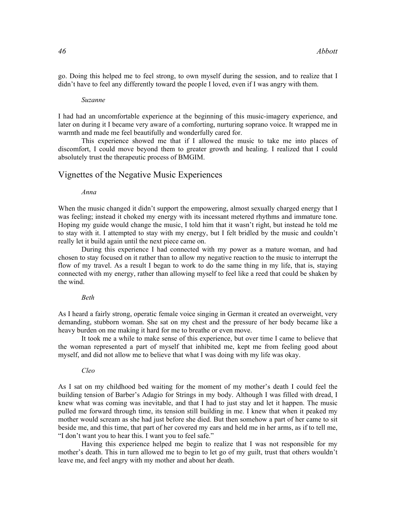go. Doing this helped me to feel strong, to own myself during the session, and to realize that I didn't have to feel any differently toward the people I loved, even if I was angry with them.

#### Suzanne

I had had an uncomfortable experience at the beginning of this music-imagery experience, and later on during it I became very aware of a comforting, nurturing soprano voice. It wrapped me in warmth and made me feel beautifully and wonderfully cared for.

This experience showed me that if I allowed the music to take me into places of discomfort, I could move beyond them to greater growth and healing. I realized that I could absolutely trust the therapeutic process of BMGIM.

# Vignettes of the Negative Music Experiences

### Anna

When the music changed it didn't support the empowering, almost sexually charged energy that I was feeling; instead it choked my energy with its incessant metered rhythms and immature tone. Hoping my guide would change the music, I told him that it wasn't right, but instead he told me to stay with it. I attempted to stay with my energy, but I felt bridled by the music and couldn't really let it build again until the next piece came on.

During this experience I had connected with my power as a mature woman, and had chosen to stay focused on it rather than to allow my negative reaction to the music to interrupt the flow of my travel. As a result I began to work to do the same thing in my life, that is, staying connected with my energy, rather than allowing myself to feel like a reed that could be shaken by the wind.

#### Beth

As I heard a fairly strong, operatic female voice singing in German it created an overweight, very demanding, stubborn woman. She sat on my chest and the pressure of her body became like a heavy burden on me making it hard for me to breathe or even move.

It took me a while to make sense of this experience, but over time I came to believe that the woman represented a part of myself that inhibited me, kept me from feeling good about myself, and did not allow me to believe that what I was doing with my life was okay.

### Cleo

As I sat on my childhood bed waiting for the moment of my mother's death I could feel the building tension of Barber's Adagio for Strings in my body. Although I was filled with dread, I knew what was coming was inevitable, and that I had to just stay and let it happen. The music pulled me forward through time, its tension still building in me. I knew that when it peaked my mother would scream as she had just before she died. But then somehow a part of her came to sit beside me, and this time, that part of her covered my ears and held me in her arms, as if to tell me, "I don't want you to hear this. I want you to feel safe."

Having this experience helped me begin to realize that I was not responsible for my mother's death. This in turn allowed me to begin to let go of my guilt, trust that others wouldn't leave me, and feel angry with my mother and about her death.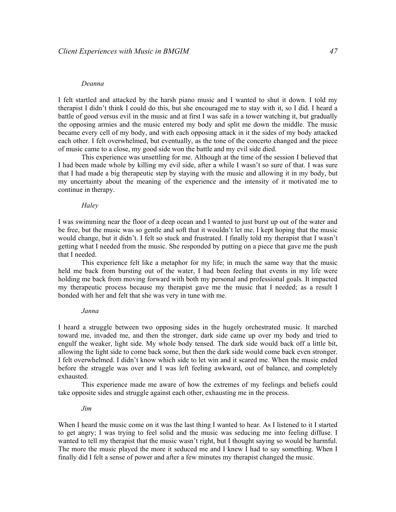#### Deanna

I felt startled and attacked by the harsh piano music and I wanted to shut it down. I told my therapist I didn't think I could do this, but she encouraged me to stay with it, so I did. I heard a battle of good versus evil in the music and at first I was safe in a tower watching it, but gradually the opposing armies and the music entered my body and split me down the middle. The music became every cell of my body, and with each opposing attack in it the sides of my body attacked each other. I felt overwhelmed, but eventually, as the tone of the concerto changed and the piece of music came to a close, my good side won the battle and my evil side died.

This experience was unsettling for me. Although at the time of the session I believed that I had been made whole by killing my evil side, after a while I wasn't so sure of that. I was sure that I had made a big therapeutic step by staying with the music and allowing it in my body, but my uncertainty about the meaning of the experience and the intensity of it motivated me to continue in therapy.

**Halev** 

I was swimming near the floor of a deep ocean and I wanted to just burst up out of the water and be free, but the music was so gentle and soft that it wouldn't let me. I kept hoping that the music would change, but it didn't. I felt so stuck and frustrated. I finally told my therapist that I wasn't getting what I needed from the music. She responded by putting on a piece that gave me the push that I needed.

This experience felt like a metaphor for my life; in much the same way that the music held me back from bursting out of the water, I had been feeling that events in my life were holding me back from moving forward with both my personal and professional goals. It impacted my therapeutic process because my therapist gave me the music that I needed; as a result I bonded with her and felt that she was very in tune with me.

### Janna

I heard a struggle between two opposing sides in the hugely orchestrated music. It marched toward me, invaded me, and then the stronger, dark side came up over my body and tried to engulf the weaker, light side. My whole body tensed. The dark side would back off a little bit, allowing the light side to come back some, but then the dark side would come back even stronger. I felt overwhelmed. I didn't know which side to let win and it scared me. When the music ended before the struggle was over and I was left feeling awkward, out of balance, and completely exhausted.

This experience made me aware of how the extremes of my feelings and beliefs could take opposite sides and struggle against each other, exhausting me in the process.

Jim

When I heard the music come on it was the last thing I wanted to hear. As I listened to it I started to get angry; I was trying to feel solid and the music was seducing me into feeling diffuse. I wanted to tell my therapist that the music wasn't right, but I thought saying so would be harmful. The more the music played the more it seduced me and I knew I had to say something. When I finally did I felt a sense of power and after a few minutes my therapist changed the music.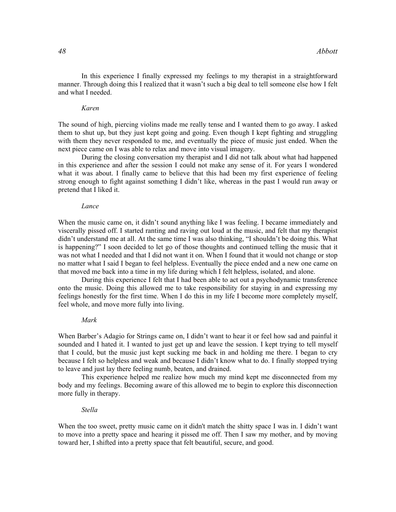In this experience I finally expressed my feelings to my therapist in a straightforward manner. Through doing this I realized that it wasn't such a big deal to tell someone else how I felt and what I needed.

### Karen

The sound of high, piercing violins made me really tense and I wanted them to go away. I asked them to shut up, but they just kept going and going. Even though I kept fighting and struggling with them they never responded to me, and eventually the piece of music just ended. When the next piece came on I was able to relax and move into visual imagery.

During the closing conversation my therapist and I did not talk about what had happened in this experience and after the session I could not make any sense of it. For years I wondered what it was about. I finally came to believe that this had been my first experience of feeling strong enough to fight against something I didn't like, whereas in the past I would run away or pretend that I liked it.

### Lance

When the music came on, it didn't sound anything like I was feeling. I became immediately and viscerally pissed off. I started ranting and raving out loud at the music, and felt that my therapist didn't understand me at all. At the same time I was also thinking, "I shouldn't be doing this. What is happening?" I soon decided to let go of those thoughts and continued telling the music that it was not what I needed and that I did not want it on. When I found that it would not change or stop no matter what I said I began to feel helpless. Eventually the piece ended and a new one came on that moved me back into a time in my life during which I felt helpless, isolated, and alone.

During this experience I felt that I had been able to act out a psychodynamic transference onto the music. Doing this allowed me to take responsibility for staying in and expressing my feelings honestly for the first time. When I do this in my life I become more completely myself, feel whole, and move more fully into living.

### Mark

When Barber's Adagio for Strings came on, I didn't want to hear it or feel how sad and painful it sounded and I hated it. I wanted to just get up and leave the session. I kept trying to tell myself that I could, but the music just kept sucking me back in and holding me there. I began to cry because I felt so helpless and weak and because I didn't know what to do. I finally stopped trying to leave and just lay there feeling numb, beaten, and drained.

This experience helped me realize how much my mind kept me disconnected from my body and my feelings. Becoming aware of this allowed me to begin to explore this disconnection more fully in therapy.

### Stella

When the too sweet, pretty music came on it didn't match the shitty space I was in. I didn't want to move into a pretty space and hearing it pissed me off. Then I saw my mother, and by moving toward her, I shifted into a pretty space that felt beautiful, secure, and good.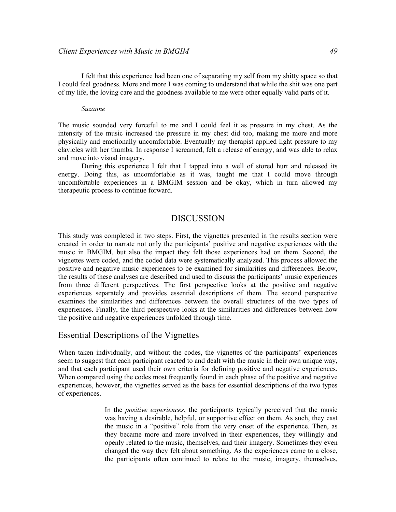I felt that this experience had been one of separating my self from my shitty space so that I could feel goodness. More and more I was coming to understand that while the shit was one part of my life, the loving care and the goodness available to me were other equally valid parts of it.

#### Suzanne

The music sounded very forceful to me and I could feel it as pressure in my chest. As the intensity of the music increased the pressure in my chest did too, making me more and more physically and emotionally uncomfortable. Eventually my therapist applied light pressure to my clavicles with her thumbs. In response I screamed, felt a release of energy, and was able to relax and move into visual imagery.

During this experience I felt that I tapped into a well of stored hurt and released its energy. Doing this, as uncomfortable as it was, taught me that I could move through uncomfortable experiences in a BMGIM session and be okay, which in turn allowed my therapeutic process to continue forward.

# DISCUSSION

This study was completed in two steps. First, the vignettes presented in the results section were created in order to narrate not only the participants' positive and negative experiences with the music in BMGIM, but also the impact they felt those experiences had on them. Second, the vignettes were coded, and the coded data were systematically analyzed. This process allowed the positive and negative music experiences to be examined for similarities and differences. Below, the results of these analyses are described and used to discuss the participants' music experiences from three different perspectives. The first perspective looks at the positive and negative experiences separately and provides essential descriptions of them. The second perspective examines the similarities and differences between the overall structures of the two types of experiences. Finally, the third perspective looks at the similarities and differences between how the positive and negative experiences unfolded through time.

# Essential Descriptions of the Vignettes

When taken individually, and without the codes, the vignettes of the participants' experiences seem to suggest that each participant reacted to and dealt with the music in their own unique way, and that each participant used their own criteria for defining positive and negative experiences. When compared using the codes most frequently found in each phase of the positive and negative experiences, however, the vignettes served as the basis for essential descriptions of the two types of experiences.

> In the *positive experiences*, the participants typically perceived that the music was having a desirable, helpful, or supportive effect on them. As such, they cast the music in a "positive" role from the very onset of the experience. Then, as they became more and more involved in their experiences, they willingly and openly related to the music, themselves, and their imagery. Sometimes they even changed the way they felt about something. As the experiences came to a close, the participants often continued to relate to the music, imagery, themselves,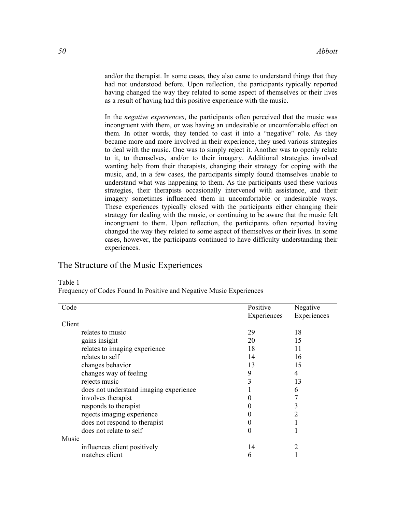and/or the therapist. In some cases, they also came to understand things that they had not understood before. Upon reflection, the participants typically reported having changed the way they related to some aspect of themselves or their lives as a result of having had this positive experience with the music.

In the *negative experiences*, the participants often perceived that the music was incongruent with them, or was having an undesirable or uncomfortable effect on them. In other words, they tended to cast it into a "negative" role. As they became more and more involved in their experience, they used various strategies to deal with the music. One was to simply reject it. Another was to openly relate to it, to themselves, and/or to their imagery. Additional strategies involved wanting help from their therapists, changing their strategy for coping with the music, and, in a few cases, the participants simply found themselves unable to understand what was happening to them. As the participants used these various strategies, their therapists occasionally intervened with assistance, and their imagery sometimes influenced them in uncomfortable or undesirable ways. These experiences typically closed with the participants either changing their strategy for dealing with the music, or continuing to be aware that the music felt incongruent to them. Upon reflection, the participants often reported having changed the way they related to some aspect of themselves or their lives. In some cases, however, the participants continued to have difficulty understanding their experiences.

# The Structure of the Music Experiences

| Code                                   | Positive    | Negative    |
|----------------------------------------|-------------|-------------|
|                                        | Experiences | Experiences |
| Client                                 |             |             |
| relates to music                       | 29          | 18          |
| gains insight                          | 20          | 15          |
| relates to imaging experience          | 18          | 11          |
| relates to self                        | 14          | 16          |
| changes behavior                       | 13          | 15          |
| changes way of feeling                 | 9           | 4           |
| rejects music                          | 3           | 13          |
| does not understand imaging experience |             | 6           |
| involves therapist                     | 0           |             |
| responds to therapist                  | 0           | 3           |
| rejects imaging experience             | 0           | 2           |
| does not respond to therapist          | 0           |             |
| does not relate to self                | 0           |             |
| Music                                  |             |             |
| influences client positively           | 14          |             |
| matches client                         | 6           |             |

# Table 1

Frequency of Codes Found In Positive and Negative Music Experiences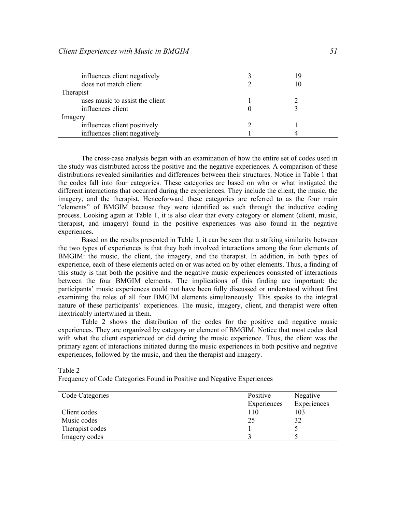| influences client negatively<br>does not match client | 19<br>10 |  |
|-------------------------------------------------------|----------|--|
| Therapist                                             |          |  |
| uses music to assist the client                       |          |  |
| influences client                                     |          |  |
| Imagery                                               |          |  |
| influences client positively                          |          |  |
| influences client negatively                          |          |  |

 The cross-case analysis began with an examination of how the entire set of codes used in the study was distributed across the positive and the negative experiences. A comparison of these distributions revealed similarities and differences between their structures. Notice in Table 1 that the codes fall into four categories. These categories are based on who or what instigated the different interactions that occurred during the experiences. They include the client, the music, the imagery, and the therapist. Henceforward these categories are referred to as the four main "elements" of BMGIM because they were identified as such through the inductive coding process. Looking again at Table 1, it is also clear that every category or element (client, music, therapist, and imagery) found in the positive experiences was also found in the negative experiences.

Based on the results presented in Table 1, it can be seen that a striking similarity between the two types of experiences is that they both involved interactions among the four elements of BMGIM: the music, the client, the imagery, and the therapist. In addition, in both types of experience, each of these elements acted on or was acted on by other elements. Thus, a finding of this study is that both the positive and the negative music experiences consisted of interactions between the four BMGIM elements. The implications of this finding are important: the participants' music experiences could not have been fully discussed or understood without first examining the roles of all four BMGIM elements simultaneously. This speaks to the integral nature of these participants' experiences. The music, imagery, client, and therapist were often inextricably intertwined in them.

Table 2 shows the distribution of the codes for the positive and negative music experiences. They are organized by category or element of BMGIM. Notice that most codes deal with what the client experienced or did during the music experience. Thus, the client was the primary agent of interactions initiated during the music experiences in both positive and negative experiences, followed by the music, and then the therapist and imagery.

# Table 2 Frequency of Code Categories Found in Positive and Negative Experiences

| Code Categories | Positive    | Negative    |
|-----------------|-------------|-------------|
|                 | Experiences | Experiences |
| Client codes    | 110         | 103         |
| Music codes     | 25          | 32          |
| Therapist codes |             |             |
| Imagery codes   |             |             |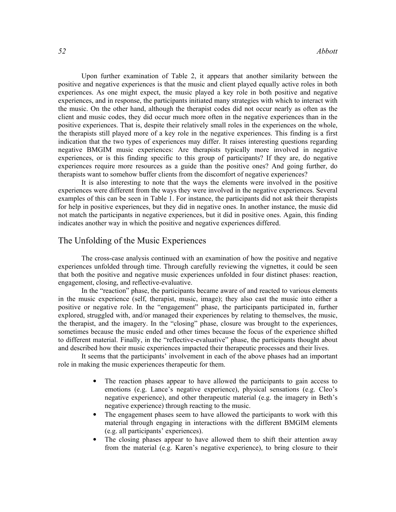Upon further examination of Table 2, it appears that another similarity between the positive and negative experiences is that the music and client played equally active roles in both experiences. As one might expect, the music played a key role in both positive and negative experiences, and in response, the participants initiated many strategies with which to interact with the music. On the other hand, although the therapist codes did not occur nearly as often as the client and music codes, they did occur much more often in the negative experiences than in the positive experiences. That is, despite their relatively small roles in the experiences on the whole, the therapists still played more of a key role in the negative experiences. This finding is a first indication that the two types of experiences may differ. It raises interesting questions regarding negative BMGIM music experiences: Are therapists typically more involved in negative experiences, or is this finding specific to this group of participants? If they are, do negative experiences require more resources as a guide than the positive ones? And going further, do therapists want to somehow buffer clients from the discomfort of negative experiences?

 It is also interesting to note that the ways the elements were involved in the positive experiences were different from the ways they were involved in the negative experiences. Several examples of this can be seen in Table 1. For instance, the participants did not ask their therapists for help in positive experiences, but they did in negative ones. In another instance, the music did not match the participants in negative experiences, but it did in positive ones. Again, this finding indicates another way in which the positive and negative experiences differed.

# The Unfolding of the Music Experiences

 The cross-case analysis continued with an examination of how the positive and negative experiences unfolded through time. Through carefully reviewing the vignettes, it could be seen that both the positive and negative music experiences unfolded in four distinct phases: reaction, engagement, closing, and reflective-evaluative.

In the "reaction" phase, the participants became aware of and reacted to various elements in the music experience (self, therapist, music, image); they also cast the music into either a positive or negative role. In the "engagement" phase, the participants participated in, further explored, struggled with, and/or managed their experiences by relating to themselves, the music, the therapist, and the imagery. In the "closing" phase, closure was brought to the experiences, sometimes because the music ended and other times because the focus of the experience shifted to different material. Finally, in the "reflective-evaluative" phase, the participants thought about and described how their music experiences impacted their therapeutic processes and their lives.

 It seems that the participants' involvement in each of the above phases had an important role in making the music experiences therapeutic for them.

- The reaction phases appear to have allowed the participants to gain access to emotions (e.g. Lance's negative experience), physical sensations (e.g. Cleo's negative experience), and other therapeutic material (e.g. the imagery in Beth's negative experience) through reacting to the music.
- The engagement phases seem to have allowed the participants to work with this material through engaging in interactions with the different BMGIM elements (e.g. all participants' experiences).
- The closing phases appear to have allowed them to shift their attention away from the material (e.g. Karen's negative experience), to bring closure to their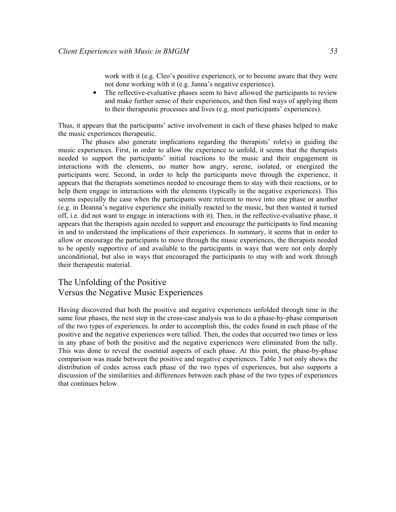work with it (e.g. Cleo's positive experience), or to become aware that they were not done working with it (e.g. Janna's negative experience).

• The reflective-evaluative phases seem to have allowed the participants to review and make further sense of their experiences, and then find ways of applying them to their therapeutic processes and lives (e.g. most participants' experiences).

Thus, it appears that the participants' active involvement in each of these phases helped to make the music experiences therapeutic.

The phases also generate implications regarding the therapists' role(s) in guiding the music experiences. First, in order to allow the experience to unfold, it seems that the therapists needed to support the participants' initial reactions to the music and their engagement in interactions with the elements, no matter how angry, serene, isolated, or energized the participants were. Second, in order to help the participants move through the experience, it appears that the therapists sometimes needed to encourage them to stay with their reactions, or to help them engage in interactions with the elements (typically in the negative experiences). This seems especially the case when the participants were reticent to move into one phase or another (e.g. in Deanna's negative experience she initially reacted to the music, but then wanted it turned off, i.e. did not want to engage in interactions with it). Then, in the reflective-evaluative phase, it appears that the therapists again needed to support and encourage the participants to find meaning in and to understand the implications of their experiences. In summary, it seems that in order to allow or encourage the participants to move through the music experiences, the therapists needed to be openly supportive of and available to the participants in ways that were not only deeply unconditional, but also in ways that encouraged the participants to stay with and work through their therapeutic material.

# The Unfolding of the Positive Versus the Negative Music Experiences

Having discovered that both the positive and negative experiences unfolded through time in the same four phases, the next step in the cross-case analysis was to do a phase-by-phase comparison of the two types of experiences. In order to accomplish this, the codes found in each phase of the positive and the negative experiences were tallied. Then, the codes that occurred two times or less in any phase of both the positive and the negative experiences were eliminated from the tally. This was done to reveal the essential aspects of each phase. At this point, the phase-by-phase comparison was made between the positive and negative experiences. Table 3 not only shows the distribution of codes across each phase of the two types of experiences, but also supports a discussion of the similarities and differences between each phase of the two types of experiences that continues below.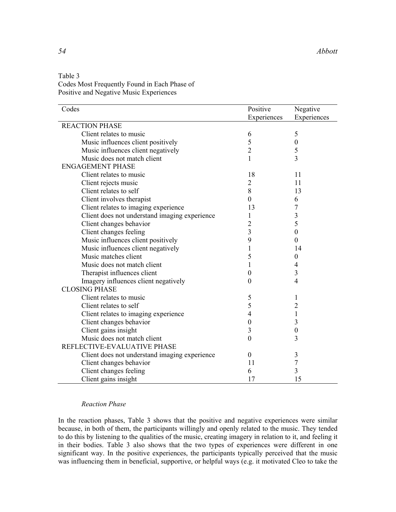| Table 3                                      |
|----------------------------------------------|
| Codes Most Frequently Found in Each Phase of |
| Positive and Negative Music Experiences      |

| Codes                                         | Positive         | Negative         |
|-----------------------------------------------|------------------|------------------|
|                                               | Experiences      | Experiences      |
| <b>REACTION PHASE</b>                         |                  |                  |
| Client relates to music                       | 6                | 5                |
| Music influences client positively            | 5                | $\boldsymbol{0}$ |
| Music influences client negatively            | $\overline{c}$   | 5                |
| Music does not match client                   | 1                | $\overline{3}$   |
| <b>ENGAGEMENT PHASE</b>                       |                  |                  |
| Client relates to music                       | 18               | 11               |
| Client rejects music                          | $\overline{2}$   | 11               |
| Client relates to self                        | $8\,$            | 13               |
| Client involves therapist                     | $\boldsymbol{0}$ | 6                |
| Client relates to imaging experience          | 13               | $\overline{7}$   |
| Client does not understand imaging experience | 1                | 3                |
| Client changes behavior                       | $\overline{c}$   | 5                |
| Client changes feeling                        | 3                | $\theta$         |
| Music influences client positively            | 9                | $\theta$         |
| Music influences client negatively            | 1                | 14               |
| Music matches client                          | 5                | $\boldsymbol{0}$ |
| Music does not match client                   | 1                | 4                |
| Therapist influences client                   | $\boldsymbol{0}$ | 3                |
| Imagery influences client negatively          | $\theta$         | $\overline{4}$   |
| <b>CLOSING PHASE</b>                          |                  |                  |
| Client relates to music                       | 5                | 1                |
| Client relates to self                        | 5                | $\overline{2}$   |
| Client relates to imaging experience          | $\overline{4}$   | $\mathbf{1}$     |
| Client changes behavior                       | $\boldsymbol{0}$ | 3                |
| Client gains insight                          | $\mathfrak{Z}$   | $\boldsymbol{0}$ |
| Music does not match client                   | $\boldsymbol{0}$ | 3                |
| REFLECTIVE-EVALUATIVE PHASE                   |                  |                  |
| Client does not understand imaging experience | $\theta$         | 3                |
| Client changes behavior                       | 11               | 7                |
| Client changes feeling                        | 6                | 3                |
| Client gains insight                          | 17               | 15               |

# Reaction Phase

In the reaction phases, Table 3 shows that the positive and negative experiences were similar because, in both of them, the participants willingly and openly related to the music. They tended to do this by listening to the qualities of the music, creating imagery in relation to it, and feeling it in their bodies. Table 3 also shows that the two types of experiences were different in one significant way. In the positive experiences, the participants typically perceived that the music was influencing them in beneficial, supportive, or helpful ways (e.g. it motivated Cleo to take the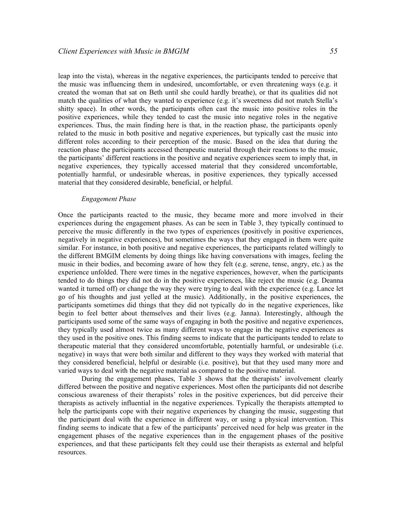leap into the vista), whereas in the negative experiences, the participants tended to perceive that the music was influencing them in undesired, uncomfortable, or even threatening ways (e.g. it created the woman that sat on Beth until she could hardly breathe), or that its qualities did not match the qualities of what they wanted to experience (e.g. it's sweetness did not match Stella's shitty space). In other words, the participants often cast the music into positive roles in the positive experiences, while they tended to cast the music into negative roles in the negative experiences. Thus, the main finding here is that, in the reaction phase, the participants openly related to the music in both positive and negative experiences, but typically cast the music into different roles according to their perception of the music. Based on the idea that during the reaction phase the participants accessed therapeutic material through their reactions to the music, the participants' different reactions in the positive and negative experiences seem to imply that, in negative experiences, they typically accessed material that they considered uncomfortable, potentially harmful, or undesirable whereas, in positive experiences, they typically accessed material that they considered desirable, beneficial, or helpful.

### Engagement Phase

Once the participants reacted to the music, they became more and more involved in their experiences during the engagement phases. As can be seen in Table 3, they typically continued to perceive the music differently in the two types of experiences (positively in positive experiences, negatively in negative experiences), but sometimes the ways that they engaged in them were quite similar. For instance, in both positive and negative experiences, the participants related willingly to the different BMGIM elements by doing things like having conversations with images, feeling the music in their bodies, and becoming aware of how they felt (e.g. serene, tense, angry, etc.) as the experience unfolded. There were times in the negative experiences, however, when the participants tended to do things they did not do in the positive experiences, like reject the music (e.g. Deanna wanted it turned off) or change the way they were trying to deal with the experience (e.g. Lance let go of his thoughts and just yelled at the music). Additionally, in the positive experiences, the participants sometimes did things that they did not typically do in the negative experiences, like begin to feel better about themselves and their lives (e.g. Janna). Interestingly, although the participants used some of the same ways of engaging in both the positive and negative experiences, they typically used almost twice as many different ways to engage in the negative experiences as they used in the positive ones. This finding seems to indicate that the participants tended to relate to therapeutic material that they considered uncomfortable, potentially harmful, or undesirable (i.e. negative) in ways that were both similar and different to they ways they worked with material that they considered beneficial, helpful or desirable (i.e. positive), but that they used many more and varied ways to deal with the negative material as compared to the positive material.

During the engagement phases, Table 3 shows that the therapists' involvement clearly differed between the positive and negative experiences. Most often the participants did not describe conscious awareness of their therapists' roles in the positive experiences, but did perceive their therapists as actively influential in the negative experiences. Typically the therapists attempted to help the participants cope with their negative experiences by changing the music, suggesting that the participant deal with the experience in different way, or using a physical intervention. This finding seems to indicate that a few of the participants' perceived need for help was greater in the engagement phases of the negative experiences than in the engagement phases of the positive experiences, and that these participants felt they could use their therapists as external and helpful resources.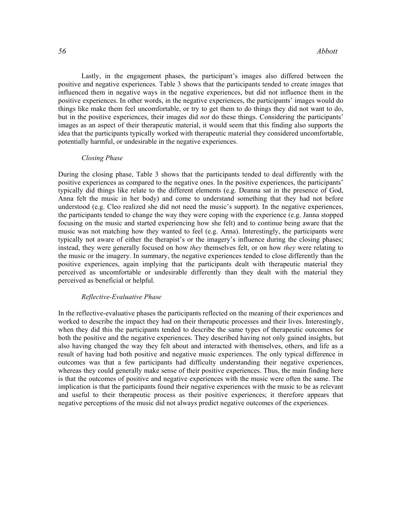Lastly, in the engagement phases, the participant's images also differed between the positive and negative experiences. Table 3 shows that the participants tended to create images that influenced them in negative ways in the negative experiences, but did not influence them in the positive experiences. In other words, in the negative experiences, the participants' images would do things like make them feel uncomfortable, or try to get them to do things they did not want to do, but in the positive experiences, their images did *not* do these things. Considering the participants' images as an aspect of their therapeutic material, it would seem that this finding also supports the idea that the participants typically worked with therapeutic material they considered uncomfortable, potentially harmful, or undesirable in the negative experiences.

### Closing Phase

During the closing phase, Table 3 shows that the participants tended to deal differently with the positive experiences as compared to the negative ones. In the positive experiences, the participants' typically did things like relate to the different elements (e.g. Deanna sat in the presence of God, Anna felt the music in her body) and come to understand something that they had not before understood (e.g. Cleo realized she did not need the music's support). In the negative experiences, the participants tended to change the way they were coping with the experience (e.g. Janna stopped focusing on the music and started experiencing how she felt) and to continue being aware that the music was not matching how they wanted to feel (e.g. Anna). Interestingly, the participants were typically not aware of either the therapist's or the imagery's influence during the closing phases; instead, they were generally focused on how *they* themselves felt, or on how *they* were relating to the music or the imagery. In summary, the negative experiences tended to close differently than the positive experiences, again implying that the participants dealt with therapeutic material they perceived as uncomfortable or undesirable differently than they dealt with the material they perceived as beneficial or helpful.

### Reflective-Evaluative Phase

In the reflective-evaluative phases the participants reflected on the meaning of their experiences and worked to describe the impact they had on their therapeutic processes and their lives. Interestingly, when they did this the participants tended to describe the same types of therapeutic outcomes for both the positive and the negative experiences. They described having not only gained insights, but also having changed the way they felt about and interacted with themselves, others, and life as a result of having had both positive and negative music experiences. The only typical difference in outcomes was that a few participants had difficulty understanding their negative experiences, whereas they could generally make sense of their positive experiences. Thus, the main finding here is that the outcomes of positive and negative experiences with the music were often the same. The implication is that the participants found their negative experiences with the music to be as relevant and useful to their therapeutic process as their positive experiences; it therefore appears that negative perceptions of the music did not always predict negative outcomes of the experiences.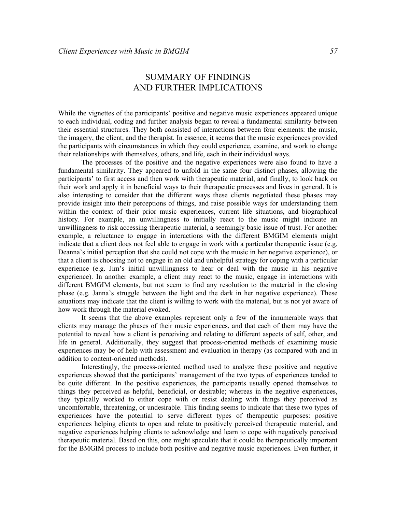# SUMMARY OF FINDINGS AND FURTHER IMPLICATIONS

While the vignettes of the participants' positive and negative music experiences appeared unique to each individual, coding and further analysis began to reveal a fundamental similarity between their essential structures. They both consisted of interactions between four elements: the music, the imagery, the client, and the therapist. In essence, it seems that the music experiences provided the participants with circumstances in which they could experience, examine, and work to change their relationships with themselves, others, and life, each in their individual ways.

The processes of the positive and the negative experiences were also found to have a fundamental similarity. They appeared to unfold in the same four distinct phases, allowing the participants' to first access and then work with therapeutic material, and finally, to look back on their work and apply it in beneficial ways to their therapeutic processes and lives in general. It is also interesting to consider that the different ways these clients negotiated these phases may provide insight into their perceptions of things, and raise possible ways for understanding them within the context of their prior music experiences, current life situations, and biographical history. For example, an unwillingness to initially react to the music might indicate an unwillingness to risk accessing therapeutic material, a seemingly basic issue of trust. For another example, a reluctance to engage in interactions with the different BMGIM elements might indicate that a client does not feel able to engage in work with a particular therapeutic issue (e.g. Deanna's initial perception that she could not cope with the music in her negative experience), or that a client is choosing not to engage in an old and unhelpful strategy for coping with a particular experience (e.g. Jim's initial unwillingness to hear or deal with the music in his negative experience). In another example, a client may react to the music, engage in interactions with different BMGIM elements, but not seem to find any resolution to the material in the closing phase (e.g. Janna's struggle between the light and the dark in her negative experience). These situations may indicate that the client is willing to work with the material, but is not yet aware of how work through the material evoked.

It seems that the above examples represent only a few of the innumerable ways that clients may manage the phases of their music experiences, and that each of them may have the potential to reveal how a client is perceiving and relating to different aspects of self, other, and life in general. Additionally, they suggest that process-oriented methods of examining music experiences may be of help with assessment and evaluation in therapy (as compared with and in addition to content-oriented methods).

Interestingly, the process-oriented method used to analyze these positive and negative experiences showed that the participants' management of the two types of experiences tended to be quite different. In the positive experiences, the participants usually opened themselves to things they perceived as helpful, beneficial, or desirable; whereas in the negative experiences, they typically worked to either cope with or resist dealing with things they perceived as uncomfortable, threatening, or undesirable. This finding seems to indicate that these two types of experiences have the potential to serve different types of therapeutic purposes: positive experiences helping clients to open and relate to positively perceived therapeutic material, and negative experiences helping clients to acknowledge and learn to cope with negatively perceived therapeutic material. Based on this, one might speculate that it could be therapeutically important for the BMGIM process to include both positive and negative music experiences. Even further, it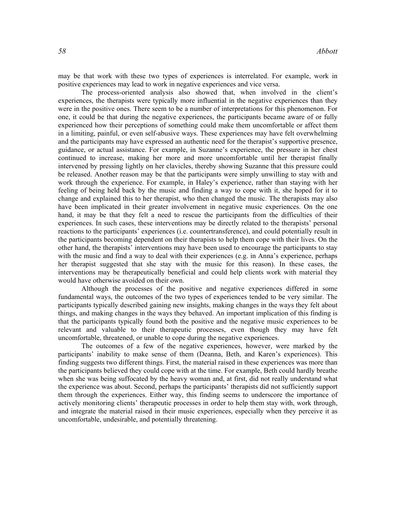may be that work with these two types of experiences is interrelated. For example, work in positive experiences may lead to work in negative experiences and vice versa.

 The process-oriented analysis also showed that, when involved in the client's experiences, the therapists were typically more influential in the negative experiences than they were in the positive ones. There seem to be a number of interpretations for this phenomenon. For one, it could be that during the negative experiences, the participants became aware of or fully experienced how their perceptions of something could make them uncomfortable or affect them in a limiting, painful, or even self-abusive ways. These experiences may have felt overwhelming and the participants may have expressed an authentic need for the therapist's supportive presence, guidance, or actual assistance. For example, in Suzanne's experience, the pressure in her chest continued to increase, making her more and more uncomfortable until her therapist finally intervened by pressing lightly on her clavicles, thereby showing Suzanne that this pressure could be released. Another reason may be that the participants were simply unwilling to stay with and work through the experience. For example, in Haley's experience, rather than staying with her feeling of being held back by the music and finding a way to cope with it, she hoped for it to change and explained this to her therapist, who then changed the music. The therapists may also have been implicated in their greater involvement in negative music experiences. On the one hand, it may be that they felt a need to rescue the participants from the difficulties of their experiences. In such cases, these interventions may be directly related to the therapists' personal reactions to the participants' experiences (i.e. countertransference), and could potentially result in the participants becoming dependent on their therapists to help them cope with their lives. On the other hand, the therapists' interventions may have been used to encourage the participants to stay with the music and find a way to deal with their experiences (e.g. in Anna's experience, perhaps her therapist suggested that she stay with the music for this reason). In these cases, the interventions may be therapeutically beneficial and could help clients work with material they would have otherwise avoided on their own.

 Although the processes of the positive and negative experiences differed in some fundamental ways, the outcomes of the two types of experiences tended to be very similar. The participants typically described gaining new insights, making changes in the ways they felt about things, and making changes in the ways they behaved. An important implication of this finding is that the participants typically found both the positive and the negative music experiences to be relevant and valuable to their therapeutic processes, even though they may have felt uncomfortable, threatened, or unable to cope during the negative experiences.

The outcomes of a few of the negative experiences, however, were marked by the participants' inability to make sense of them (Deanna, Beth, and Karen's experiences). This finding suggests two different things. First, the material raised in these experiences was more than the participants believed they could cope with at the time. For example, Beth could hardly breathe when she was being suffocated by the heavy woman and, at first, did not really understand what the experience was about. Second, perhaps the participants' therapists did not sufficiently support them through the experiences. Either way, this finding seems to underscore the importance of actively monitoring clients' therapeutic processes in order to help them stay with, work through, and integrate the material raised in their music experiences, especially when they perceive it as uncomfortable, undesirable, and potentially threatening.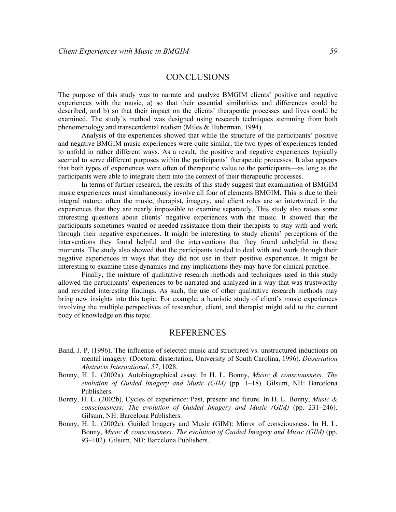# **CONCLUSIONS**

The purpose of this study was to narrate and analyze BMGIM clients' positive and negative experiences with the music, a) so that their essential similarities and differences could be described, and b) so that their impact on the clients' therapeutic processes and lives could be examined. The study's method was designed using research techniques stemming from both phenomenology and transcendental realism (Miles & Huberman, 1994).

 Analysis of the experiences showed that while the structure of the participants' positive and negative BMGIM music experiences were quite similar, the two types of experiences tended to unfold in rather different ways. As a result, the positive and negative experiences typically seemed to serve different purposes within the participants' therapeutic processes. It also appears that both types of experiences were often of therapeutic value to the participants—as long as the participants were able to integrate them into the context of their therapeutic processes.

In terms of further research, the results of this study suggest that examination of BMGIM music experiences must simultaneously involve all four of elements BMGIM. This is due to their integral nature: often the music, therapist, imagery, and client roles are so intertwined in the experiences that they are nearly impossible to examine separately. This study also raises some interesting questions about clients' negative experiences with the music. It showed that the participants sometimes wanted or needed assistance from their therapists to stay with and work through their negative experiences. It might be interesting to study clients' perceptions of the interventions they found helpful and the interventions that they found unhelpful in those moments. The study also showed that the participants tended to deal with and work through their negative experiences in ways that they did not use in their positive experiences. It might be interesting to examine these dynamics and any implications they may have for clinical practice.

Finally, the mixture of qualitative research methods and techniques used in this study allowed the participants' experiences to be narrated and analyzed in a way that was trustworthy and revealed interesting findings. As such, the use of other qualitative research methods may bring new insights into this topic. For example, a heuristic study of client's music experiences involving the multiple perspectives of researcher, client, and therapist might add to the current body of knowledge on this topic.

# REFERENCES

- Band, J. P. (1996). The influence of selected music and structured vs. unstructured inductions on mental imagery. (Doctoral dissertation, University of South Carolina, 1996). Dissertation Abstracts International, 57, 1028.
- Bonny, H. L. (2002a). Autobiographical essay. In H. L. Bonny, Music & consciousness: The evolution of Guided Imagery and Music (GIM) (pp. 1–18). Gilsum, NH: Barcelona Publishers.
- Bonny, H. L. (2002b). Cycles of experience: Past, present and future. In H. L. Bonny, *Music &* consciousness: The evolution of Guided Imagery and Music (GIM) (pp. 231–246). Gilsum, NH: Barcelona Publishers.
- Bonny, H. L. (2002c). Guided Imagery and Music (GIM): Mirror of consciousness. In H. L. Bonny, Music & consciousness: The evolution of Guided Imagery and Music (GIM) (pp. 93–102). Gilsum, NH: Barcelona Publishers.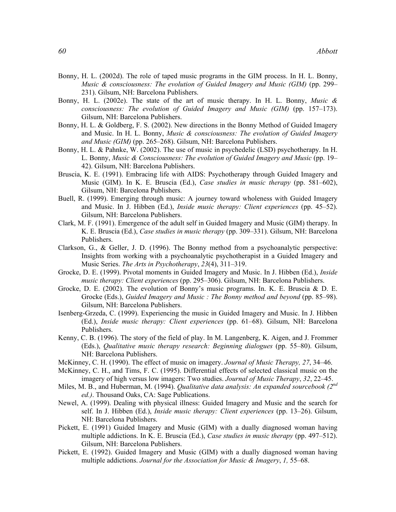- Bonny, H. L. (2002d). The role of taped music programs in the GIM process. In H. L. Bonny, Music & consciousness: The evolution of Guided Imagery and Music (GIM) (pp. 299– 231). Gilsum, NH: Barcelona Publishers.
- Bonny, H. L. (2002e). The state of the art of music therapy. In H. L. Bonny, Music  $\&$ consciousness: The evolution of Guided Imagery and Music (GIM) (pp. 157–173). Gilsum, NH: Barcelona Publishers.
- Bonny, H. L. & Goldberg, F. S. (2002). New directions in the Bonny Method of Guided Imagery and Music. In H. L. Bonny, *Music & consciousness: The evolution of Guided Imagery* and Music (GIM) (pp. 265–268). Gilsum, NH: Barcelona Publishers.
- Bonny, H. L. & Pahnke, W. (2002). The use of music in psychedelic (LSD) psychotherapy. In H. L. Bonny, Music & Consciousness: The evolution of Guided Imagery and Music (pp. 19– 42). Gilsum, NH: Barcelona Publishers.
- Bruscia, K. E. (1991). Embracing life with AIDS: Psychotherapy through Guided Imagery and Music (GIM). In K. E. Bruscia (Ed.), Case studies in music therapy (pp. 581–602), Gilsum, NH: Barcelona Publishers.
- Buell, R. (1999). Emerging through music: A journey toward wholeness with Guided Imagery and Music. In J. Hibben (Ed.), Inside music therapy: Client experiences (pp. 45–52). Gilsum, NH: Barcelona Publishers.
- Clark, M. F. (1991). Emergence of the adult self in Guided Imagery and Music (GIM) therapy. In K. E. Bruscia (Ed.), Case studies in music therapy (pp. 309–331). Gilsum, NH: Barcelona Publishers.
- Clarkson, G., & Geller, J. D. (1996). The Bonny method from a psychoanalytic perspective: Insights from working with a psychoanalytic psychotherapist in a Guided Imagery and Music Series. The Arts in Psychotherapy, 23(4), 311–319.
- Grocke, D. E. (1999). Pivotal moments in Guided Imagery and Music. In J. Hibben (Ed.), *Inside* music therapy: Client experiences (pp. 295–306). Gilsum, NH: Barcelona Publishers.
- Grocke, D. E. (2002). The evolution of Bonny's music programs. In. K. E. Bruscia & D. E. Grocke (Eds.), Guided Imagery and Music : The Bonny method and beyond (pp. 85–98). Gilsum, NH: Barcelona Publishers.
- Isenberg-Grzeda, C. (1999). Experiencing the music in Guided Imagery and Music. In J. Hibben (Ed.), Inside music therapy: Client experiences (pp. 61–68). Gilsum, NH: Barcelona Publishers.
- Kenny, C. B. (1996). The story of the field of play. In M. Langenberg, K. Aigen, and J. Frommer (Eds.), Qualitative music therapy research: Beginning dialogues (pp. 55–80). Gilsum, NH: Barcelona Publishers.
- McKinney, C. H. (1990). The effect of music on imagery. Journal of Music Therapy, 27, 34–46.
- McKinney, C. H., and Tims, F. C. (1995). Differential effects of selected classical music on the imagery of high versus low imagers: Two studies. Journal of Music Therapy, 32, 22–45.
- Miles, M. B., and Huberman, M. (1994). *Qualitative data analysis: An expanded sourcebook* (2<sup>nd</sup>) ed.). Thousand Oaks, CA: Sage Publications.
- Newel, A. (1999). Dealing with physical illness: Guided Imagery and Music and the search for self. In J. Hibben (Ed.), *Inside music therapy: Client experiences* (pp. 13–26). Gilsum, NH: Barcelona Publishers.
- Pickett, E. (1991) Guided Imagery and Music (GIM) with a dually diagnosed woman having multiple addictions. In K. E. Bruscia (Ed.), Case studies in music therapy (pp. 497–512). Gilsum, NH: Barcelona Publishers.
- Pickett, E. (1992). Guided Imagery and Music (GIM) with a dually diagnosed woman having multiple addictions. Journal for the Association for Music & Imagery, 1, 55–68.